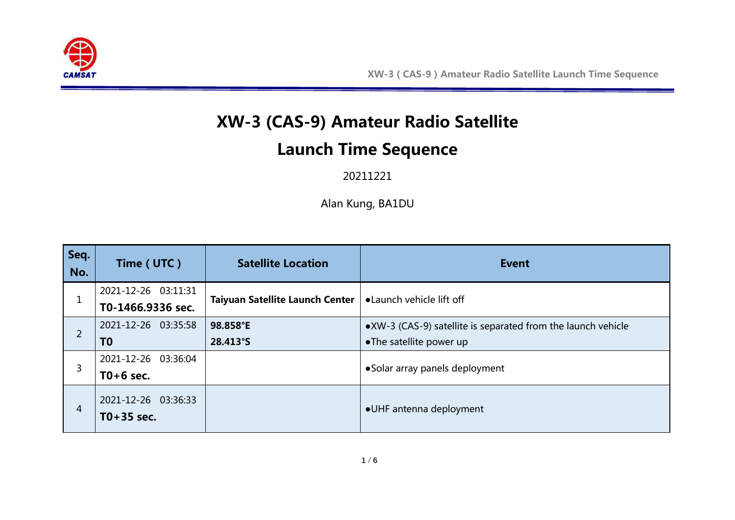

## **XW-3 (CAS-9) Amateur Radio Satellite**

## **Launch Time Sequence**

## 20211221

Alan Kung, BA1DU

| Seq.<br>No.    | Time (UTC)                            | <b>Satellite Location</b>              | <b>Event</b>                                                 |
|----------------|---------------------------------------|----------------------------------------|--------------------------------------------------------------|
|                | 2021-12-26 03:11:31                   | <b>Taiyuan Satellite Launch Center</b> | • Launch vehicle lift off                                    |
|                | T0-1466.9336 sec.                     |                                        |                                                              |
| $\overline{2}$ | 2021-12-26 03:35:58                   | 98.858°E                               | •XW-3 (CAS-9) satellite is separated from the launch vehicle |
|                | T <sub>0</sub>                        | 28.413°S                               | •The satellite power up                                      |
| 3              | 2021-12-26 03:36:04                   |                                        |                                                              |
|                | $T0+6$ sec.                           |                                        | • Solar array panels deployment                              |
| 4              | 2021-12-26 03:36:33<br>$T0 + 35$ sec. |                                        | •UHF antenna deployment                                      |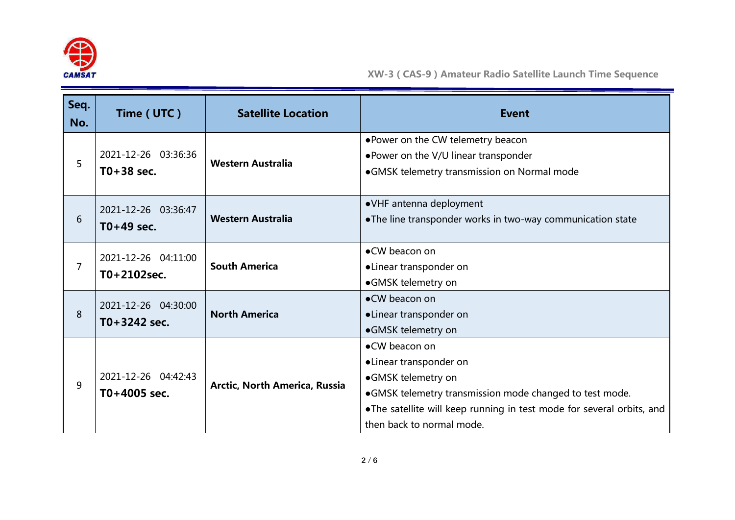

| Seq.<br>No.    | Time (UTC)                              | <b>Satellite Location</b>     | <b>Event</b>                                                                                                                                                                                                                   |
|----------------|-----------------------------------------|-------------------------------|--------------------------------------------------------------------------------------------------------------------------------------------------------------------------------------------------------------------------------|
| 5              | 2021-12-26 03:36:36<br>$T0+38$ sec.     | <b>Western Australia</b>      | . Power on the CW telemetry beacon<br>. Power on the V/U linear transponder<br>•GMSK telemetry transmission on Normal mode                                                                                                     |
| 6              | 2021-12-26 03:36:47<br>$T0+49$ sec.     | <b>Western Australia</b>      | • VHF antenna deployment<br>• The line transponder works in two-way communication state                                                                                                                                        |
| $\overline{7}$ | 2021-12-26 04:11:00<br>$T0 + 2102$ sec. | <b>South America</b>          | •CW beacon on<br>•Linear transponder on<br>•GMSK telemetry on                                                                                                                                                                  |
| 8              | 2021-12-26 04:30:00<br>$T0 + 3242$ sec. | <b>North America</b>          | •CW beacon on<br>•Linear transponder on<br>•GMSK telemetry on                                                                                                                                                                  |
| 9              | 2021-12-26 04:42:43<br>$T0+4005$ sec.   | Arctic, North America, Russia | •CW beacon on<br>•Linear transponder on<br>•GMSK telemetry on<br>•GMSK telemetry transmission mode changed to test mode.<br>.The satellite will keep running in test mode for several orbits, and<br>then back to normal mode. |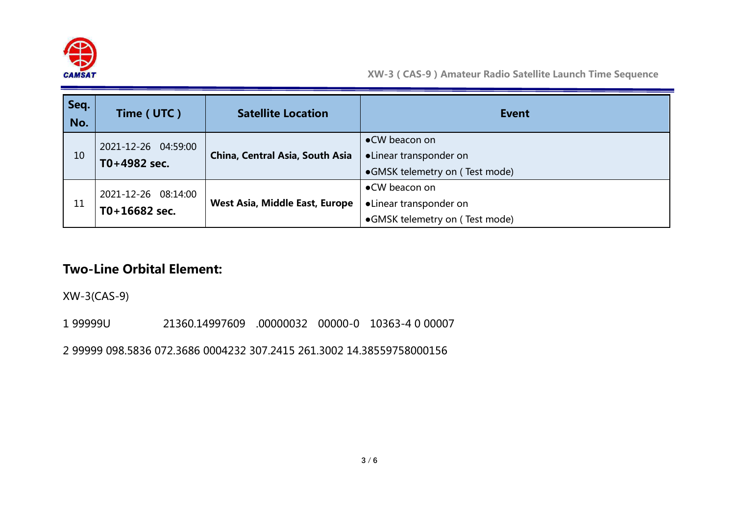

| Seq.<br>No. | Time (UTC)                             | <b>Satellite Location</b>       | <b>Event</b>                                                              |
|-------------|----------------------------------------|---------------------------------|---------------------------------------------------------------------------|
| 10          | 2021-12-26 04:59:00<br>T0+4982 sec.    | China, Central Asia, South Asia | •CW beacon on<br>•Linear transponder on<br>•GMSK telemetry on (Test mode) |
| 11          | 2021-12-26 08:14:00<br>$T0+16682$ sec. | West Asia, Middle East, Europe  | •CW beacon on<br>•Linear transponder on<br>•GMSK telemetry on (Test mode) |

## **Two-Line Orbital Element:**

XW-3(CAS-9)

1 99999U 21360.14997609 .00000032 00000-0 10363-4 0 00007

2 99999 098.5836 072.3686 0004232 307.2415 261.3002 14.38559758000156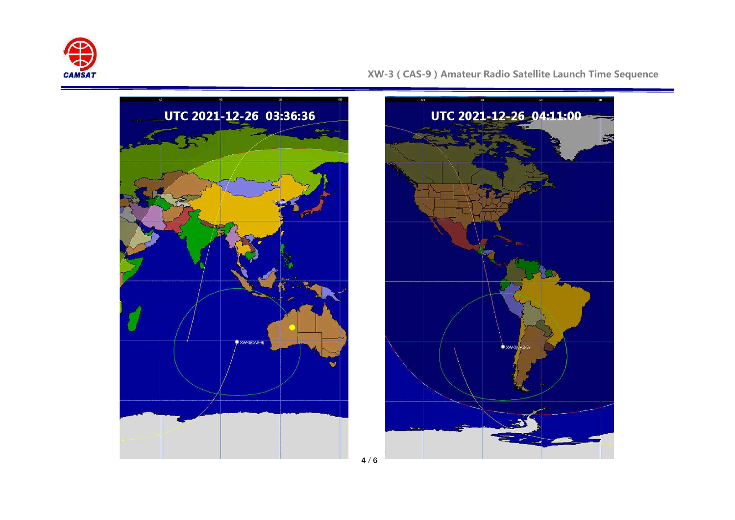





**4** / **6**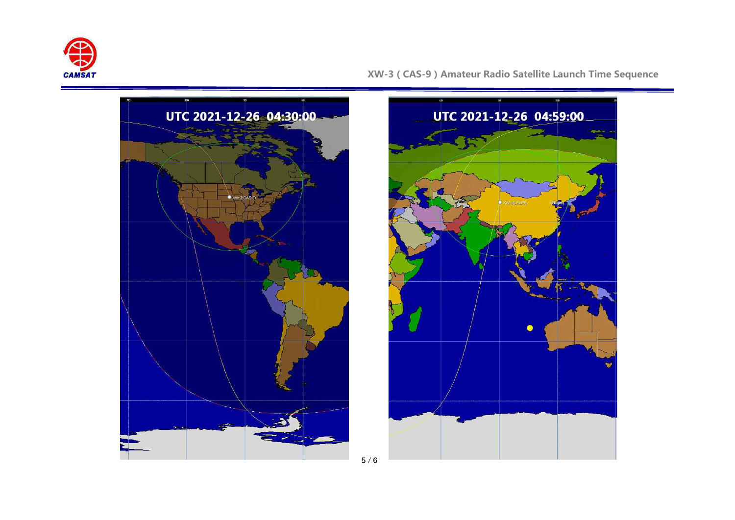

**XW-3(CAS-9)Amateur Radio Satellite Launch Time Sequence**





**5** / **6**